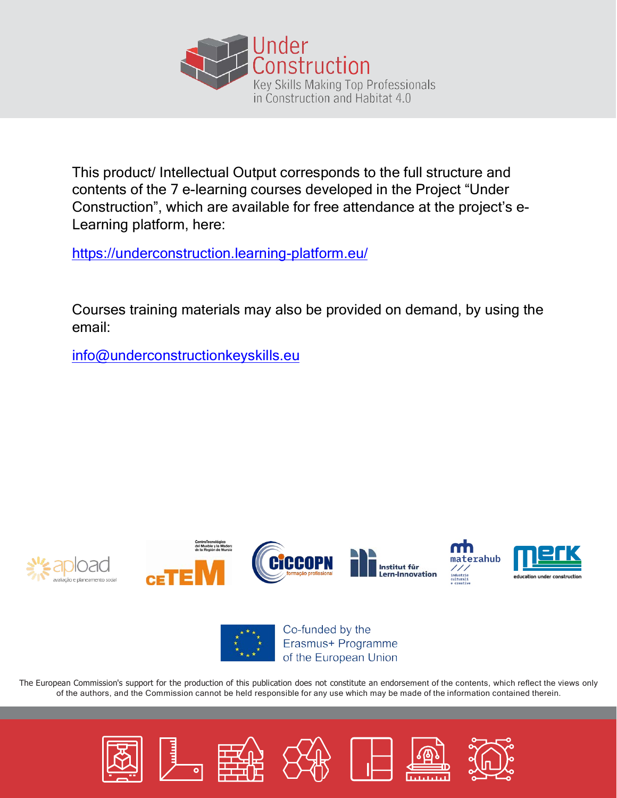

This product/ Intellectual Output corresponds to the full structure and contents of the 7 e-learning courses developed in the Project "Under Construction", which are available for free attendance at the project's e-Learning platform, here:

https://underconstruction.learning-platform.eu/

Courses training materials may also be provided on demand, by using the email:

info@underconstructionkeyskills.eu









Co-funded by the Erasmus+ Programme of the European Union

The European Commission's support for the production of this publication does not constitute an endorsement of the contents, which reflect the views only of the authors, and the Commission cannot be held responsible for any use which may be made of the information contained therein.

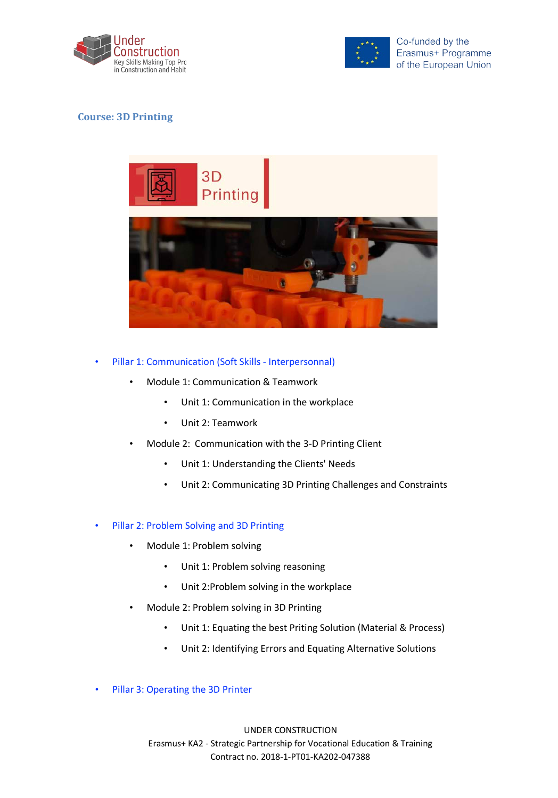



## **Course: 3D Printing**



## Pillar 1: Communication (Soft Skills - Interpersonnal)

- Module 1: Communication & Teamwork
	- Unit 1: Communication in the workplace
	- Unit 2: Teamwork
- Module 2: Communication with the 3-D Printing Client
	- Unit 1: Understanding the Clients' Needs
	- Unit 2: Communicating 3D Printing Challenges and Constraints

#### • Pillar 2: Problem Solving and 3D Printing

- Module 1: Problem solving
	- Unit 1: Problem solving reasoning
	- Unit 2:Problem solving in the workplace
- Module 2: Problem solving in 3D Printing
	- Unit 1: Equating the best Priting Solution (Material & Process)
	- Unit 2: Identifying Errors and Equating Alternative Solutions
- Pillar 3: Operating the 3D Printer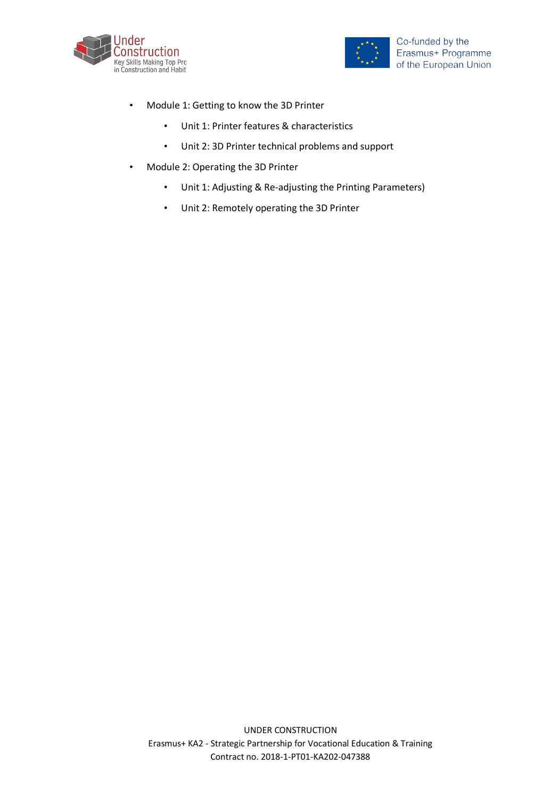



- Module 1: Getting to know the 3D Printer
	- Unit 1: Printer features & characteristics
	- Unit 2: 3D Printer technical problems and support
- Module 2: Operating the 3D Printer
	- Unit 1: Adjusting & Re-adjusting the Printing Parameters)
	- Unit 2: Remotely operating the 3D Printer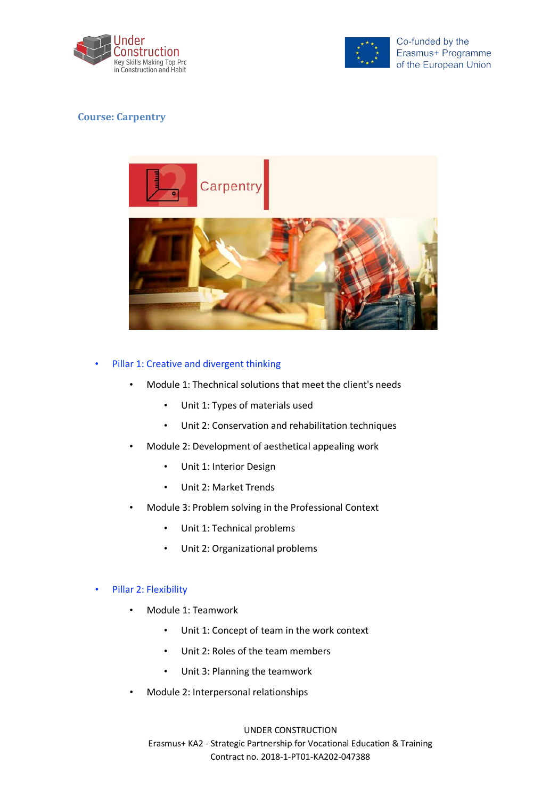



## **Course: Carpentry**



## Pillar 1: Creative and divergent thinking

- Module 1: Thechnical solutions that meet the client's needs
	- Unit 1: Types of materials used
	- Unit 2: Conservation and rehabilitation techniques
- Module 2: Development of aesthetical appealing work
	- Unit 1: Interior Design
	- Unit 2: Market Trends
- Module 3: Problem solving in the Professional Context
	- Unit 1: Technical problems
	- Unit 2: Organizational problems

#### Pillar 2: Flexibility

- Module 1: Teamwork
	- Unit 1: Concept of team in the work context
	- Unit 2: Roles of the team members
	- Unit 3: Planning the teamwork
- Module 2: Interpersonal relationships

### UNDER CONSTRUCTION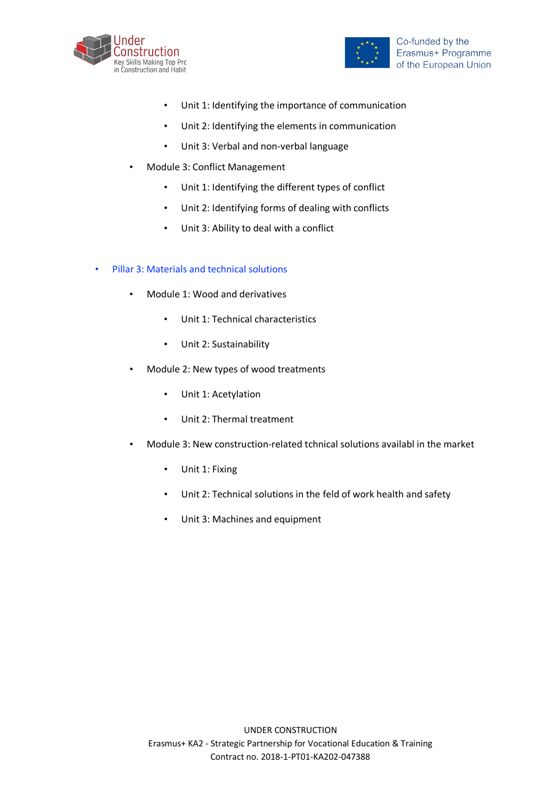



- Unit 1: Identifying the importance of communication
- Unit 2: Identifying the elements in communication
- Unit 3: Verbal and non-verbal language
- Module 3: Conflict Management
	- Unit 1: Identifying the different types of conflict
	- Unit 2: Identifying forms of dealing with conflicts
	- Unit 3: Ability to deal with a conflict
- Pillar 3: Materials and technical solutions
	- Module 1: Wood and derivatives
		- Unit 1: Technical characteristics
		- Unit 2: Sustainability
	- Module 2: New types of wood treatments
		- Unit 1: Acetylation
		- Unit 2: Thermal treatment
	- Module 3: New construction-related tchnical solutions availabl in the market
		- Unit 1: Fixing
		- Unit 2: Technical solutions in the feld of work health and safety
		- Unit 3: Machines and equipment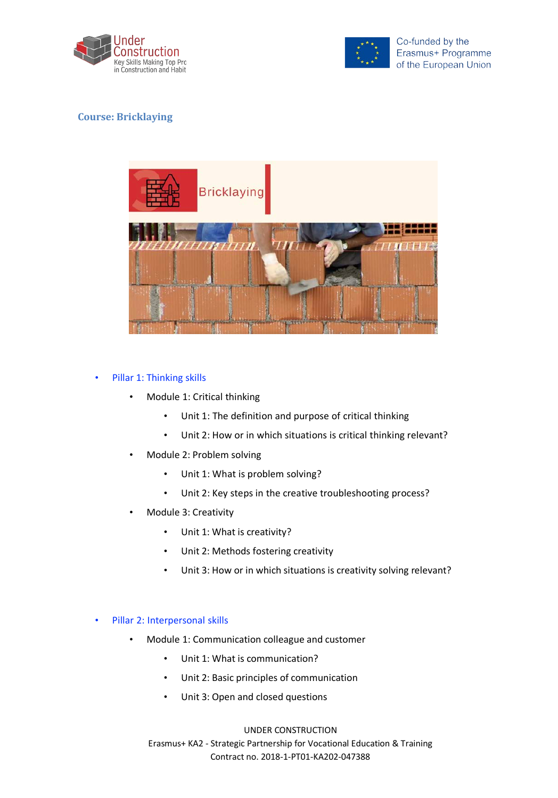



# **Course: Bricklaying**



## • Pillar 1: Thinking skills

- Module 1: Critical thinking
	- Unit 1: The definition and purpose of critical thinking
	- Unit 2: How or in which situations is critical thinking relevant?
- Module 2: Problem solving
	- Unit 1: What is problem solving?
	- Unit 2: Key steps in the creative troubleshooting process?
- Module 3: Creativity
	- Unit 1: What is creativity?
	- Unit 2: Methods fostering creativity
	- Unit 3: How or in which situations is creativity solving relevant?

#### • Pillar 2: Interpersonal skills

- Module 1: Communication colleague and customer
	- Unit 1: What is communication?
	- Unit 2: Basic principles of communication
	- Unit 3: Open and closed questions

### UNDER CONSTRUCTION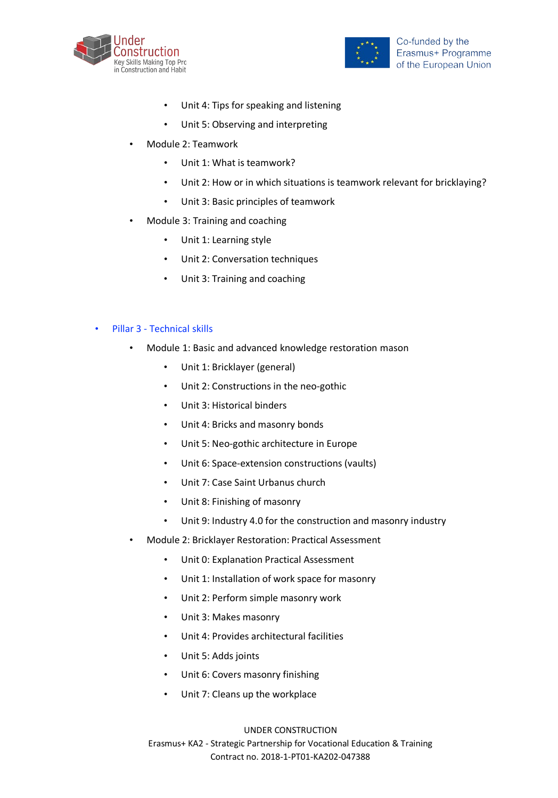



- Unit 4: Tips for speaking and listening
- Unit 5: Observing and interpreting
- Module 2: Teamwork
	- Unit 1: What is teamwork?
	- Unit 2: How or in which situations is teamwork relevant for bricklaying?
	- Unit 3: Basic principles of teamwork
- Module 3: Training and coaching
	- Unit 1: Learning style
	- Unit 2: Conversation techniques
	- Unit 3: Training and coaching

#### • Pillar 3 - Technical skills

- Module 1: Basic and advanced knowledge restoration mason
	- Unit 1: Bricklayer (general)
	- Unit 2: Constructions in the neo-gothic
	- Unit 3: Historical binders
	- Unit 4: Bricks and masonry bonds
	- Unit 5: Neo-gothic architecture in Europe
	- Unit 6: Space-extension constructions (vaults)
	- Unit 7: Case Saint Urbanus church
	- Unit 8: Finishing of masonry
	- Unit 9: Industry 4.0 for the construction and masonry industry
- Module 2: Bricklayer Restoration: Practical Assessment
	- Unit 0: Explanation Practical Assessment
	- Unit 1: Installation of work space for masonry
	- Unit 2: Perform simple masonry work
	- Unit 3: Makes masonry
	- Unit 4: Provides architectural facilities
	- Unit 5: Adds joints
	- Unit 6: Covers masonry finishing
	- Unit 7: Cleans up the workplace

#### UNDER CONSTRUCTION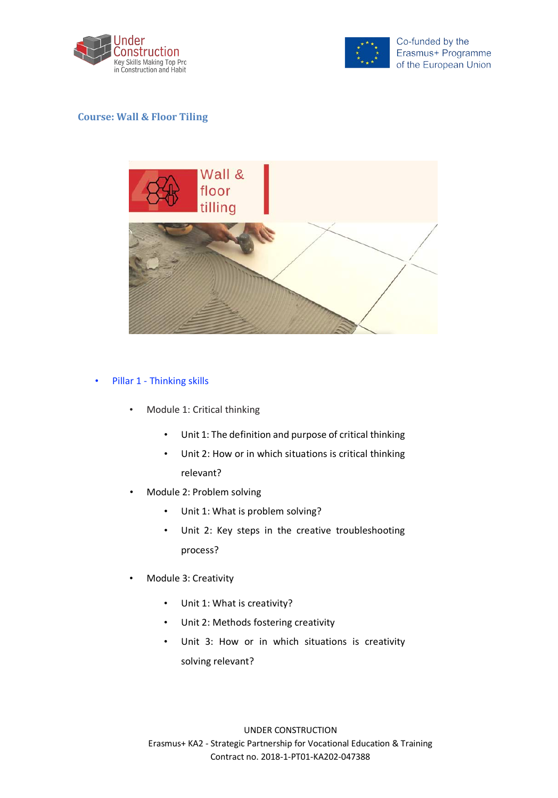



# **Course: Wall & Floor Tiling**



### • Pillar 1 - Thinking skills

- Module 1: Critical thinking
	- Unit 1: The definition and purpose of critical thinking
	- Unit 2: How or in which situations is critical thinking relevant?
- Module 2: Problem solving
	- Unit 1: What is problem solving?
	- Unit 2: Key steps in the creative troubleshooting process?
- Module 3: Creativity
	- Unit 1: What is creativity?
	- Unit 2: Methods fostering creativity
	- Unit 3: How or in which situations is creativity solving relevant?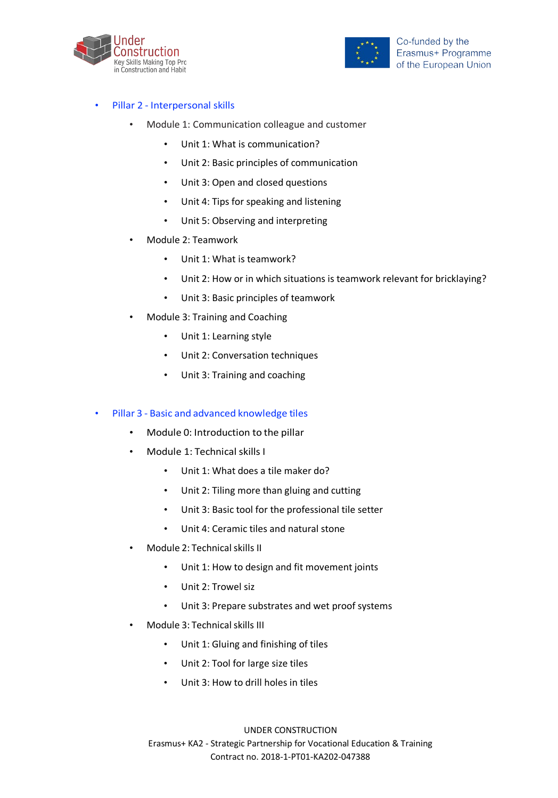



## • Pillar 2 - Interpersonal skills

- Module 1: Communication colleague and customer
	- Unit 1: What is communication?
	- Unit 2: Basic principles of communication
	- Unit 3: Open and closed questions
	- Unit 4: Tips for speaking and listening
	- Unit 5: Observing and interpreting
- Module 2: Teamwork
	- Unit 1: What is teamwork?
	- Unit 2: How or in which situations is teamwork relevant for bricklaying?
	- Unit 3: Basic principles of teamwork
- Module 3: Training and Coaching
	- Unit 1: Learning style
	- Unit 2: Conversation techniques
	- Unit 3: Training and coaching

#### • Pillar 3 - Basic and advanced knowledge tiles

- Module 0: Introduction to the pillar
- Module 1: Technical skills I
	- Unit 1: What does a tile maker do?
	- Unit 2: Tiling more than gluing and cutting
	- Unit 3: Basic tool for the professional tile setter
	- Unit 4: Ceramic tiles and natural stone
- Module 2: Technical skills II
	- Unit 1: How to design and fit movement joints
	- Unit 2: Trowel siz
	- Unit 3: Prepare substrates and wet proof systems
- Module 3: Technical skills III
	- Unit 1: Gluing and finishing of tiles
	- Unit 2: Tool for large size tiles
	- Unit 3: How to drill holes in tiles

#### UNDER CONSTRUCTION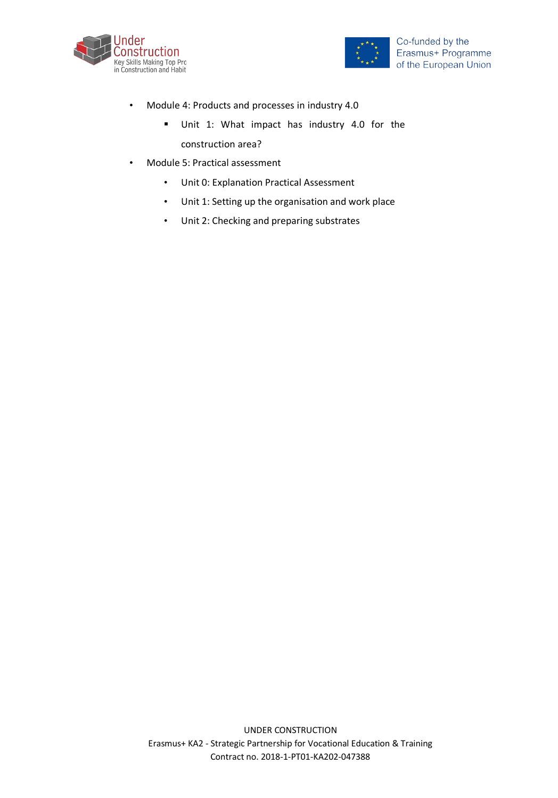



- Module 4: Products and processes in industry 4.0
	- § Unit 1: What impact has industry 4.0 for the construction area?
- Module 5: Practical assessment
	- Unit 0: Explanation Practical Assessment
	- Unit 1: Setting up the organisation and work place
	- Unit 2: Checking and preparing substrates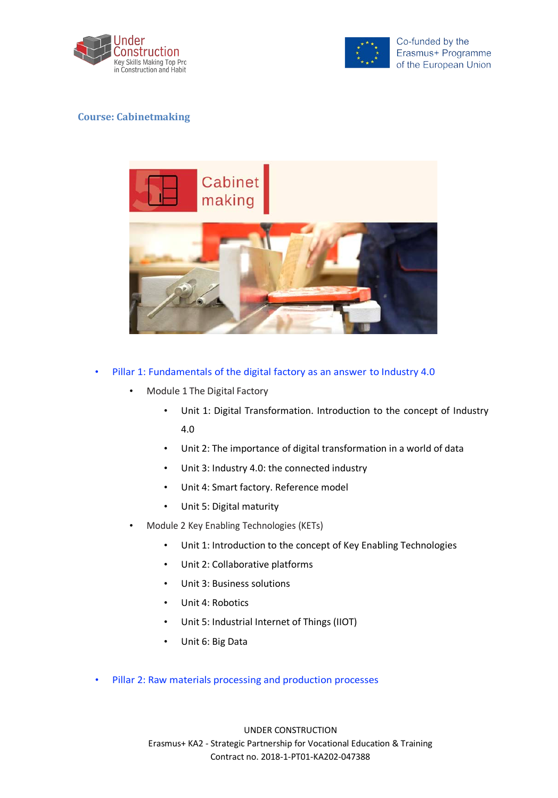



## **Course: Cabinetmaking**



- Pillar 1: Fundamentals of the digital factory as an answer to Industry 4.0
	- Module 1 The Digital Factory
		- Unit 1: Digital Transformation. Introduction to the concept of Industry 4.0
		- Unit 2: The importance of digital transformation in a world of data
		- Unit 3: Industry 4.0: the connected industry
		- Unit 4: Smart factory. Reference model
		- Unit 5: Digital maturity
	- Module 2 Key Enabling Technologies (KETs)
		- Unit 1: Introduction to the concept of Key Enabling Technologies
		- Unit 2: Collaborative platforms
		- Unit 3: Business solutions
		- Unit 4: Robotics
		- Unit 5: Industrial Internet of Things (IIOT)
		- Unit 6: Big Data
- Pillar 2: Raw materials processing and production processes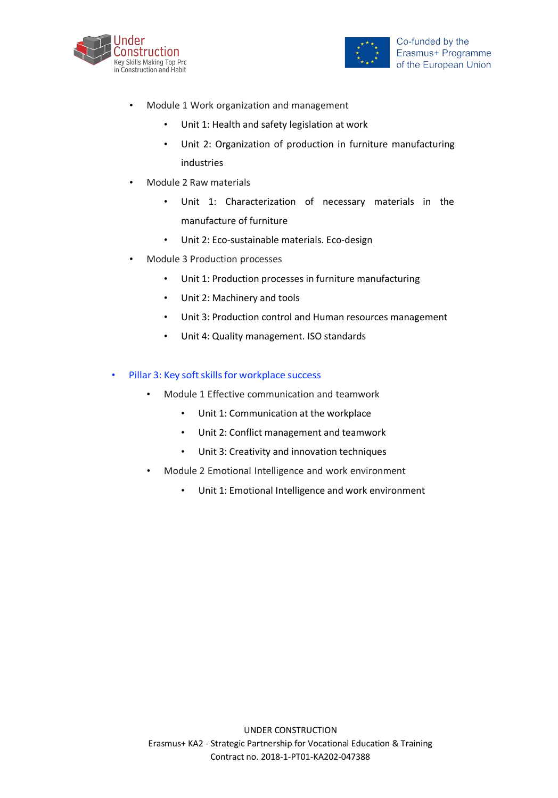



- Module 1 Work organization and management
	- Unit 1: Health and safety legislation at work
	- Unit 2: Organization of production in furniture manufacturing industries
- Module 2 Raw materials
	- Unit 1: Characterization of necessary materials in the manufacture of furniture
	- Unit 2: Eco-sustainable materials. Eco-design
- Module 3 Production processes
	- Unit 1: Production processes in furniture manufacturing
	- Unit 2: Machinery and tools
	- Unit 3: Production control and Human resources management
	- Unit 4: Quality management. ISO standards
- Pillar 3: Key soft skills for workplace success
	- Module 1 Effective communication and teamwork
		- Unit 1: Communication at the workplace
		- Unit 2: Conflict management and teamwork
		- Unit 3: Creativity and innovation techniques
	- Module 2 Emotional Intelligence and work environment
		- Unit 1: Emotional Intelligence and work environment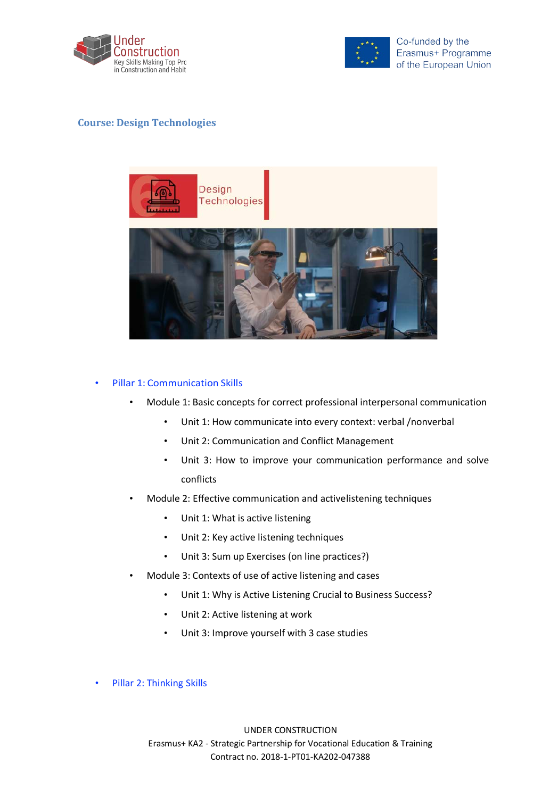



## **Course: Design Technologies**



#### • Pillar 1: Communication Skills

- Module 1: Basic concepts for correct professional interpersonal communication
	- Unit 1: How communicate into every context: verbal /nonverbal
	- Unit 2: Communication and Conflict Management
	- Unit 3: How to improve your communication performance and solve conflicts
- Module 2: Effective communication and activelistening techniques
	- Unit 1: What is active listening
	- Unit 2: Key active listening techniques
	- Unit 3: Sum up Exercises (on line practices?)
- Module 3: Contexts of use of active listening and cases
	- Unit 1: Why is Active Listening Crucial to Business Success?
	- Unit 2: Active listening at work
	- Unit 3: Improve yourself with 3 case studies
- Pillar 2: Thinking Skills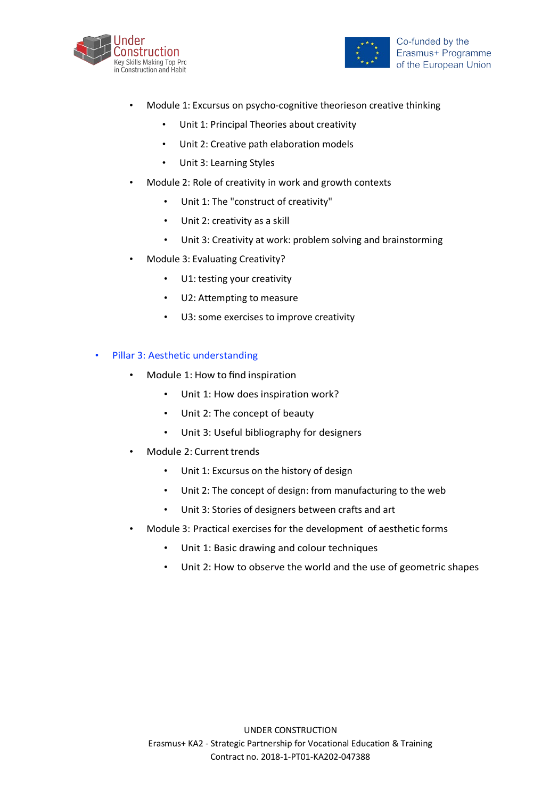



- Module 1: Excursus on psycho-cognitive theorieson creative thinking
	- Unit 1: Principal Theories about creativity
	- Unit 2: Creative path elaboration models
	- Unit 3: Learning Styles
- Module 2: Role of creativity in work and growth contexts
	- Unit 1: The "construct of creativity"
	- Unit 2: creativity as a skill
	- Unit 3: Creativity at work: problem solving and brainstorming
- Module 3: Evaluating Creativity?
	- U1: testing your creativity
	- U2: Attempting to measure
	- U3: some exercises to improve creativity

## Pillar 3: Aesthetic understanding

- Module 1: How to find inspiration
	- Unit 1: How does inspiration work?
	- Unit 2: The concept of beauty
	- Unit 3: Useful bibliography for designers
- Module 2: Current trends
	- Unit 1: Excursus on the history of design
	- Unit 2: The concept of design: from manufacturing to the web
	- Unit 3: Stories of designers between crafts and art
- Module 3: Practical exercises for the development of aesthetic forms
	- Unit 1: Basic drawing and colour techniques
	- Unit 2: How to observe the world and the use of geometric shapes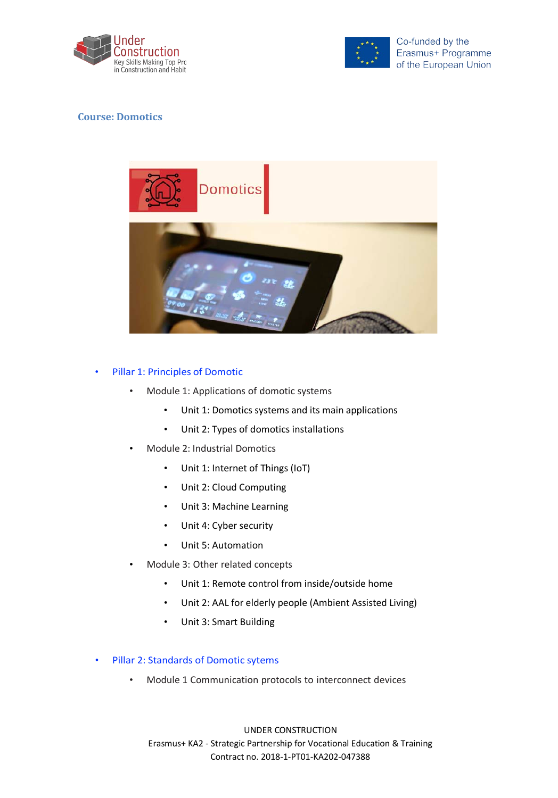



## **Course: Domotics**



## Pillar 1: Principles of Domotic

- Module 1: Applications of domotic systems
	- Unit 1: Domotics systems and its main applications
	- Unit 2: Types of domotics installations
- Module 2: Industrial Domotics
	- Unit 1: Internet of Things (IoT)
	- Unit 2: Cloud Computing
	- Unit 3: Machine Learning
	- Unit 4: Cyber security
	- Unit 5: Automation
- Module 3: Other related concepts
	- Unit 1: Remote control from inside/outside home
	- Unit 2: AAL for elderly people (Ambient Assisted Living)
	- Unit 3: Smart Building
- Pillar 2: Standards of Domotic sytems
	- Module 1 Communication protocols to interconnect devices

#### UNDER CONSTRUCTION